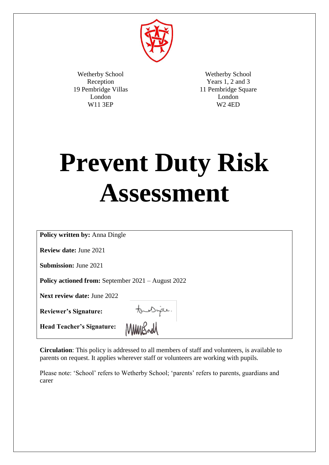

Wetherby School Reception 19 Pembridge Villas London W11 3EP

Wetherby School Years 1, 2 and 3 11 Pembridge Square London W2 4ED

# **Prevent Duty Risk Assessment**

**Policy written by:** Anna Dingle

**Review date:** June 2021

**Submission:** June 2021

**Policy actioned from:** September 2021 – August 2022

**Next review date:** June 2022

**Reviewer's Signature:** 

tourique.

**Head Teacher's Signature:** 

MMMBrd

**Circulation**: This policy is addressed to all members of staff and volunteers, is available to parents on request. It applies wherever staff or volunteers are working with pupils.

Please note: 'School' refers to Wetherby School; 'parents' refers to parents, guardians and carer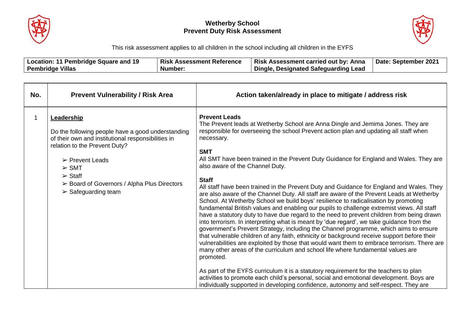



This risk assessment applies to all children in the school including all children in the EYFS

| ∣ 1 Q<br>Pembridae J<br>e and :<br>Location:<br>. Square<br>. . | <b>Risk</b><br><b>Reference</b><br>Assessment | <b>Risk</b><br>Anna<br>Assessment carried out bv: | 202<br><b>Date</b><br>September∶ |
|-----------------------------------------------------------------|-----------------------------------------------|---------------------------------------------------|----------------------------------|
| <b>Villas</b><br>Pembridge                                      | Number <sup>.</sup>                           | Designated Safeguarding Lead<br>Dinale.           |                                  |

| No. | <b>Prevent Vulnerability / Risk Area</b>                                                                                                                                                                                                                                                                                  | Action taken/already in place to mitigate / address risk                                                                                                                                                                                                                                                                                                                                                                                                                                                                                                                                                                                                                                                                                                                                                                                                                                                                                                                                                                                                                                                                                                                                                                                                                                                                                                                                                                                                                                                                                                                                                          |
|-----|---------------------------------------------------------------------------------------------------------------------------------------------------------------------------------------------------------------------------------------------------------------------------------------------------------------------------|-------------------------------------------------------------------------------------------------------------------------------------------------------------------------------------------------------------------------------------------------------------------------------------------------------------------------------------------------------------------------------------------------------------------------------------------------------------------------------------------------------------------------------------------------------------------------------------------------------------------------------------------------------------------------------------------------------------------------------------------------------------------------------------------------------------------------------------------------------------------------------------------------------------------------------------------------------------------------------------------------------------------------------------------------------------------------------------------------------------------------------------------------------------------------------------------------------------------------------------------------------------------------------------------------------------------------------------------------------------------------------------------------------------------------------------------------------------------------------------------------------------------------------------------------------------------------------------------------------------------|
|     | <b>Leadership</b><br>Do the following people have a good understanding<br>of their own and institutional responsibilities in<br>relation to the Prevent Duty?<br>$\triangleright$ Prevent Leads<br>$>$ SMT<br>$\triangleright$ Staff<br>> Board of Governors / Alpha Plus Directors<br>$\triangleright$ Safeguarding team | <b>Prevent Leads</b><br>The Prevent leads at Wetherby School are Anna Dingle and Jemima Jones. They are<br>responsible for overseeing the school Prevent action plan and updating all staff when<br>necessary.<br><b>SMT</b><br>All SMT have been trained in the Prevent Duty Guidance for England and Wales. They are<br>also aware of the Channel Duty.<br><b>Staff</b><br>All staff have been trained in the Prevent Duty and Guidance for England and Wales. They<br>are also aware of the Channel Duty. All staff are aware of the Prevent Leads at Wetherby<br>School. At Wetherby School we build boys' resilience to radicalisation by promoting<br>fundamental British values and enabling our pupils to challenge extremist views. All staff<br>have a statutory duty to have due regard to the need to prevent children from being drawn<br>into terrorism. In interpreting what is meant by 'due regard', we take guidance from the<br>government's Prevent Strategy, including the Channel programme, which aims to ensure<br>that vulnerable children of any faith, ethnicity or background receive support before their<br>vulnerabilities are exploited by those that would want them to embrace terrorism. There are<br>many other areas of the curriculum and school life where fundamental values are<br>promoted.<br>As part of the EYFS curriculum it is a statutory requirement for the teachers to plan<br>activities to promote each child's personal, social and emotional development. Boys are<br>individually supported in developing confidence, autonomy and self-respect. They are |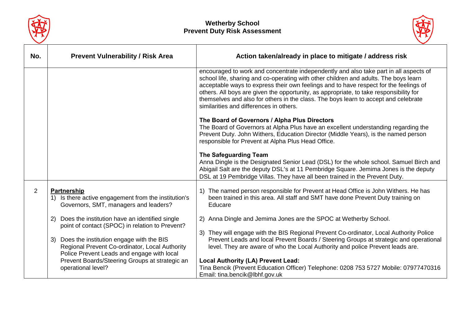



| No.            | <b>Prevent Vulnerability / Risk Area</b>                                                                                                    | Action taken/already in place to mitigate / address risk                                                                                                                                                                                                                                                                                                                                                                                                                                           |
|----------------|---------------------------------------------------------------------------------------------------------------------------------------------|----------------------------------------------------------------------------------------------------------------------------------------------------------------------------------------------------------------------------------------------------------------------------------------------------------------------------------------------------------------------------------------------------------------------------------------------------------------------------------------------------|
|                |                                                                                                                                             | encouraged to work and concentrate independently and also take part in all aspects of<br>school life, sharing and co-operating with other children and adults. The boys learn<br>acceptable ways to express their own feelings and to have respect for the feelings of<br>others. All boys are given the opportunity, as appropriate, to take responsibility for<br>themselves and also for others in the class. The boys learn to accept and celebrate<br>similarities and differences in others. |
|                |                                                                                                                                             | The Board of Governors / Alpha Plus Directors<br>The Board of Governors at Alpha Plus have an excellent understanding regarding the<br>Prevent Duty. John Withers, Education Director (Middle Years), is the named person<br>responsible for Prevent at Alpha Plus Head Office.                                                                                                                                                                                                                    |
|                |                                                                                                                                             | The Safeguarding Team<br>Anna Dingle is the Designated Senior Lead (DSL) for the whole school. Samuel Birch and<br>Abigail Salt are the deputy DSL's at 11 Pembridge Square. Jemima Jones is the deputy<br>DSL at 19 Pembridge Villas. They have all been trained in the Prevent Duty.                                                                                                                                                                                                             |
| $\overline{2}$ | Partnership<br>1) Is there active engagement from the institution's<br>Governors, SMT, managers and leaders?                                | The named person responsible for Prevent at Head Office is John Withers. He has<br>1)<br>been trained in this area. All staff and SMT have done Prevent Duty training on<br>Educare                                                                                                                                                                                                                                                                                                                |
|                | Does the institution have an identified single<br>(2)<br>point of contact (SPOC) in relation to Prevent?                                    | 2) Anna Dingle and Jemima Jones are the SPOC at Wetherby School.                                                                                                                                                                                                                                                                                                                                                                                                                                   |
|                | 3) Does the institution engage with the BIS<br>Regional Prevent Co-ordinator, Local Authority<br>Police Prevent Leads and engage with local | 3) They will engage with the BIS Regional Prevent Co-ordinator, Local Authority Police<br>Prevent Leads and local Prevent Boards / Steering Groups at strategic and operational<br>level. They are aware of who the Local Authority and police Prevent leads are.                                                                                                                                                                                                                                  |
|                | Prevent Boards/Steering Groups at strategic an<br>operational level?                                                                        | <b>Local Authority (LA) Prevent Lead:</b><br>Tina Bencik (Prevent Education Officer) Telephone: 0208 753 5727 Mobile: 07977470316<br>Email: tina.bencik@lbhf.gov.uk                                                                                                                                                                                                                                                                                                                                |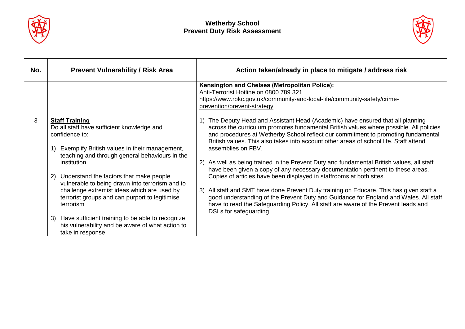



| No. | <b>Prevent Vulnerability / Risk Area</b>                                                                                                                                                                                                                                                                                                                                                                                                                                                       | Action taken/already in place to mitigate / address risk                                                                                                                                                                                                                                                                                                                                                                                                                                                                                                                                                                                                                                                                                                                                                                                                                                                                                |
|-----|------------------------------------------------------------------------------------------------------------------------------------------------------------------------------------------------------------------------------------------------------------------------------------------------------------------------------------------------------------------------------------------------------------------------------------------------------------------------------------------------|-----------------------------------------------------------------------------------------------------------------------------------------------------------------------------------------------------------------------------------------------------------------------------------------------------------------------------------------------------------------------------------------------------------------------------------------------------------------------------------------------------------------------------------------------------------------------------------------------------------------------------------------------------------------------------------------------------------------------------------------------------------------------------------------------------------------------------------------------------------------------------------------------------------------------------------------|
|     |                                                                                                                                                                                                                                                                                                                                                                                                                                                                                                | Kensington and Chelsea (Metropolitan Police):<br>Anti-Terrorist Hotline on 0800 789 321<br>https://www.rbkc.gov.uk/community-and-local-life/community-safety/crime-<br>prevention/prevent-strategy                                                                                                                                                                                                                                                                                                                                                                                                                                                                                                                                                                                                                                                                                                                                      |
| 3   | <b>Staff Training</b><br>Do all staff have sufficient knowledge and<br>confidence to:<br>1) Exemplify British values in their management,<br>teaching and through general behaviours in the<br>institution<br>Understand the factors that make people<br><sup>2)</sup><br>vulnerable to being drawn into terrorism and to<br>challenge extremist ideas which are used by<br>terrorist groups and can purport to legitimise<br>terrorism<br>3) Have sufficient training to be able to recognize | The Deputy Head and Assistant Head (Academic) have ensured that all planning<br>across the curriculum promotes fundamental British values where possible. All policies<br>and procedures at Wetherby School reflect our commitment to promoting fundamental<br>British values. This also takes into account other areas of school life. Staff attend<br>assemblies on FBV.<br>2) As well as being trained in the Prevent Duty and fundamental British values, all staff<br>have been given a copy of any necessary documentation pertinent to these areas.<br>Copies of articles have been displayed in staffrooms at both sites.<br>All staff and SMT have done Prevent Duty training on Educare. This has given staff a<br>3)<br>good understanding of the Prevent Duty and Guidance for England and Wales. All staff<br>have to read the Safeguarding Policy. All staff are aware of the Prevent leads and<br>DSLs for safeguarding. |
|     | his vulnerability and be aware of what action to<br>take in response                                                                                                                                                                                                                                                                                                                                                                                                                           |                                                                                                                                                                                                                                                                                                                                                                                                                                                                                                                                                                                                                                                                                                                                                                                                                                                                                                                                         |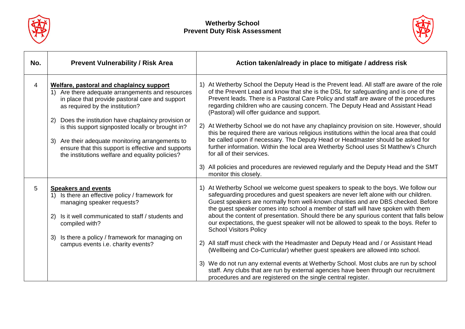



| No.            | <b>Prevent Vulnerability / Risk Area</b>                                                                                                                                                                                                      | Action taken/already in place to mitigate / address risk                                                                                                                                                                                                                                                                                                                                                                                                                                                                                                               |
|----------------|-----------------------------------------------------------------------------------------------------------------------------------------------------------------------------------------------------------------------------------------------|------------------------------------------------------------------------------------------------------------------------------------------------------------------------------------------------------------------------------------------------------------------------------------------------------------------------------------------------------------------------------------------------------------------------------------------------------------------------------------------------------------------------------------------------------------------------|
| $\overline{4}$ | Welfare, pastoral and chaplaincy support<br>1) Are there adequate arrangements and resources<br>in place that provide pastoral care and support<br>as required by the institution?<br>Does the institution have chaplaincy provision or<br>2) | At Wetherby School the Deputy Head is the Prevent lead. All staff are aware of the role<br>of the Prevent Lead and know that she is the DSL for safeguarding and is one of the<br>Prevent leads. There is a Pastoral Care Policy and staff are aware of the procedures<br>regarding children who are causing concern. The Deputy Head and Assistant Head<br>(Pastoral) will offer guidance and support.                                                                                                                                                                |
|                | is this support signposted locally or brought in?<br>Are their adequate monitoring arrangements to<br>3)<br>ensure that this support is effective and supports<br>the institutions welfare and equality policies?                             | At Wetherby School we do not have any chaplaincy provision on site. However, should<br>2)<br>this be required there are various religious institutions within the local area that could<br>be called upon if necessary. The Deputy Head or Headmaster should be asked for<br>further information. Within the local area Wetherby School uses St Matthew's Church<br>for all of their services.                                                                                                                                                                         |
|                |                                                                                                                                                                                                                                               | All policies and procedures are reviewed regularly and the Deputy Head and the SMT<br>3)<br>monitor this closely.                                                                                                                                                                                                                                                                                                                                                                                                                                                      |
| 5              | <b>Speakers and events</b><br>1) Is there an effective policy / framework for<br>managing speaker requests?<br>2)<br>Is it well communicated to staff / students and<br>compiled with?                                                        | At Wetherby School we welcome guest speakers to speak to the boys. We follow our<br>safeguarding procedures and guest speakers are never left alone with our children.<br>Guest speakers are normally from well-known charities and are DBS checked. Before<br>the guest speaker comes into school a member of staff will have spoken with them<br>about the content of presentation. Should there be any spurious content that falls below<br>our expectations, the guest speaker will not be allowed to speak to the boys. Refer to<br><b>School Visitors Policy</b> |
|                | Is there a policy / framework for managing on<br>3)<br>campus events i.e. charity events?                                                                                                                                                     | All staff must check with the Headmaster and Deputy Head and / or Assistant Head<br>(2)<br>(Wellbeing and Co-Curricular) whether guest speakers are allowed into school.                                                                                                                                                                                                                                                                                                                                                                                               |
|                |                                                                                                                                                                                                                                               | We do not run any external events at Wetherby School. Most clubs are run by school<br>3)<br>staff. Any clubs that are run by external agencies have been through our recruitment<br>procedures and are registered on the single central register.                                                                                                                                                                                                                                                                                                                      |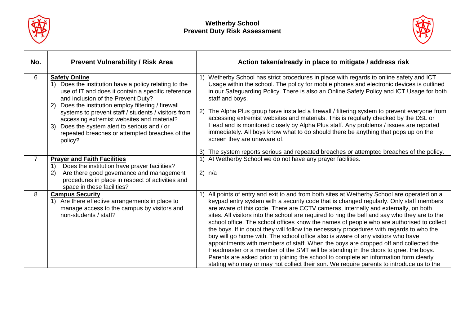



| No.            | <b>Prevent Vulnerability / Risk Area</b>                                                                                                                                                                                                                                                                                                                                                                                                              | Action taken/already in place to mitigate / address risk                                                                                                                                                                                                                                                                                                                                                                                                                                                                                                                                                                                                                                                                                                                                                                                                                                                                                                                                                                |
|----------------|-------------------------------------------------------------------------------------------------------------------------------------------------------------------------------------------------------------------------------------------------------------------------------------------------------------------------------------------------------------------------------------------------------------------------------------------------------|-------------------------------------------------------------------------------------------------------------------------------------------------------------------------------------------------------------------------------------------------------------------------------------------------------------------------------------------------------------------------------------------------------------------------------------------------------------------------------------------------------------------------------------------------------------------------------------------------------------------------------------------------------------------------------------------------------------------------------------------------------------------------------------------------------------------------------------------------------------------------------------------------------------------------------------------------------------------------------------------------------------------------|
| 6              | <b>Safety Online</b><br>1) Does the institution have a policy relating to the<br>use of IT and does it contain a specific reference<br>and inclusion of the Prevent Duty?<br>2) Does the institution employ filtering / firewall<br>systems to prevent staff / students / visitors from<br>accessing extremist websites and material?<br>Does the system alert to serious and / or<br>3)<br>repeated breaches or attempted breaches of the<br>policy? | Wetherby School has strict procedures in place with regards to online safety and ICT<br>Usage within the school. The policy for mobile phones and electronic devices is outlined<br>in our Safeguarding Policy. There is also an Online Safety Policy and ICT Usage for both<br>staff and boys.<br>2) The Alpha Plus group have installed a firewall / filtering system to prevent everyone from<br>accessing extremist websites and materials. This is regularly checked by the DSL or<br>Head and is monitored closely by Alpha Plus staff. Any problems / issues are reported<br>immediately. All boys know what to do should there be anything that pops up on the<br>screen they are unaware of.                                                                                                                                                                                                                                                                                                                   |
|                |                                                                                                                                                                                                                                                                                                                                                                                                                                                       | 3) The system reports serious and repeated breaches or attempted breaches of the policy.                                                                                                                                                                                                                                                                                                                                                                                                                                                                                                                                                                                                                                                                                                                                                                                                                                                                                                                                |
| $\overline{7}$ | <b>Prayer and Faith Facilities</b><br>Does the institution have prayer facilities?<br>1)<br>Are there good governance and management<br>2)<br>procedures in place in respect of activities and<br>space in these facilities?                                                                                                                                                                                                                          | 1) At Wetherby School we do not have any prayer facilities.<br>$2)$ n/a                                                                                                                                                                                                                                                                                                                                                                                                                                                                                                                                                                                                                                                                                                                                                                                                                                                                                                                                                 |
| 8              | <b>Campus Security</b><br>1) Are there effective arrangements in place to<br>manage access to the campus by visitors and<br>non-students / staff?                                                                                                                                                                                                                                                                                                     | 1) All points of entry and exit to and from both sites at Wetherby School are operated on a<br>keypad entry system with a security code that is changed regularly. Only staff members<br>are aware of this code. There are CCTV cameras, internally and externally, on both<br>sites. All visitors into the school are required to ring the bell and say who they are to the<br>school office. The school offices know the names of people who are authorised to collect<br>the boys. If in doubt they will follow the necessary procedures with regards to who the<br>boy will go home with. The school office also is aware of any visitors who have<br>appointments with members of staff. When the boys are dropped off and collected the<br>Headmaster or a member of the SMT will be standing in the doors to greet the boys.<br>Parents are asked prior to joining the school to complete an information form clearly<br>stating who may or may not collect their son. We require parents to introduce us to the |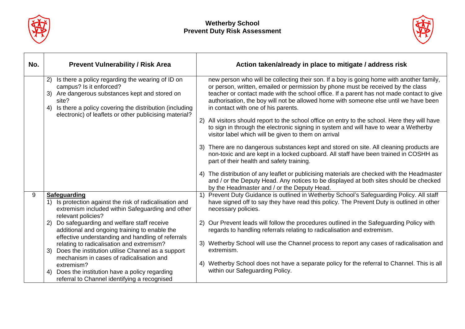



| No. | <b>Prevent Vulnerability / Risk Area</b>                                                                                                                                                                                                                                  | Action taken/already in place to mitigate / address risk                                                                                                                                                                                                                                                                                                                                                                                                                                                                                                                                                                                                                                                                                                                                                                                                                               |
|-----|---------------------------------------------------------------------------------------------------------------------------------------------------------------------------------------------------------------------------------------------------------------------------|----------------------------------------------------------------------------------------------------------------------------------------------------------------------------------------------------------------------------------------------------------------------------------------------------------------------------------------------------------------------------------------------------------------------------------------------------------------------------------------------------------------------------------------------------------------------------------------------------------------------------------------------------------------------------------------------------------------------------------------------------------------------------------------------------------------------------------------------------------------------------------------|
|     | Is there a policy regarding the wearing of ID on<br>2)<br>campus? Is it enforced?<br>Are dangerous substances kept and stored on<br>3)<br>site?<br>Is there a policy covering the distribution (including<br>4)<br>electronic) of leaflets or other publicising material? | new person who will be collecting their son. If a boy is going home with another family,<br>or person, written, emailed or permission by phone must be received by the class<br>teacher or contact made with the school office. If a parent has not made contact to give<br>authorisation, the boy will not be allowed home with someone else until we have been<br>in contact with one of his parents.<br>All visitors should report to the school office on entry to the school. Here they will have<br>to sign in through the electronic signing in system and will have to wear a Wetherby<br>visitor label which will be given to them on arrival<br>3) There are no dangerous substances kept and stored on site. All cleaning products are<br>non-toxic and are kept in a locked cupboard. All staff have been trained in COSHH as<br>part of their health and safety training. |
|     |                                                                                                                                                                                                                                                                           | 4) The distribution of any leaflet or publicising materials are checked with the Headmaster<br>and / or the Deputy Head. Any notices to be displayed at both sites should be checked<br>by the Headmaster and / or the Deputy Head.                                                                                                                                                                                                                                                                                                                                                                                                                                                                                                                                                                                                                                                    |
| 9   | <b>Safeguarding</b><br>Is protection against the risk of radicalisation and<br>1)<br>extremism included within Safeguarding and other<br>relevant policies?                                                                                                               | Prevent Duty Guidance is outlined in Wetherby School's Safeguarding Policy. All staff<br>1)<br>have signed off to say they have read this policy. The Prevent Duty is outlined in other<br>necessary policies.                                                                                                                                                                                                                                                                                                                                                                                                                                                                                                                                                                                                                                                                         |
|     | Do safeguarding and welfare staff receive<br>2)<br>additional and ongoing training to enable the<br>effective understanding and handling of referrals                                                                                                                     | Our Prevent leads will follow the procedures outlined in the Safeguarding Policy with<br>regards to handling referrals relating to radicalisation and extremism.                                                                                                                                                                                                                                                                                                                                                                                                                                                                                                                                                                                                                                                                                                                       |
|     | relating to radicalisation and extremism?<br>Does the institution utilise Channel as a support<br>3)<br>mechanism in cases of radicalisation and                                                                                                                          | 3) Wetherby School will use the Channel process to report any cases of radicalisation and<br>extremism.                                                                                                                                                                                                                                                                                                                                                                                                                                                                                                                                                                                                                                                                                                                                                                                |
|     | extremism?<br>Does the institution have a policy regarding<br>4)<br>referral to Channel identifying a recognised                                                                                                                                                          | Wetherby School does not have a separate policy for the referral to Channel. This is all<br>4)<br>within our Safeguarding Policy.                                                                                                                                                                                                                                                                                                                                                                                                                                                                                                                                                                                                                                                                                                                                                      |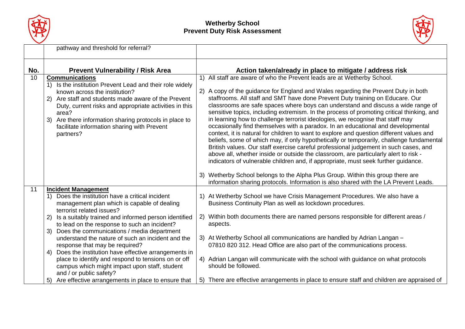



|     | pathway and threshold for referral?                                                                                                                                                                                                                                                                                                                                                                                                                                                                                                                                                                                                                                                |                                                                                                                                                                                                                                                                                                                                                                                                                                                                                                                                                                                                                                                                                                                                                                                                                                                                                                                                                                                                                                                                     |
|-----|------------------------------------------------------------------------------------------------------------------------------------------------------------------------------------------------------------------------------------------------------------------------------------------------------------------------------------------------------------------------------------------------------------------------------------------------------------------------------------------------------------------------------------------------------------------------------------------------------------------------------------------------------------------------------------|---------------------------------------------------------------------------------------------------------------------------------------------------------------------------------------------------------------------------------------------------------------------------------------------------------------------------------------------------------------------------------------------------------------------------------------------------------------------------------------------------------------------------------------------------------------------------------------------------------------------------------------------------------------------------------------------------------------------------------------------------------------------------------------------------------------------------------------------------------------------------------------------------------------------------------------------------------------------------------------------------------------------------------------------------------------------|
| No. | <b>Prevent Vulnerability / Risk Area</b>                                                                                                                                                                                                                                                                                                                                                                                                                                                                                                                                                                                                                                           | Action taken/already in place to mitigate / address risk                                                                                                                                                                                                                                                                                                                                                                                                                                                                                                                                                                                                                                                                                                                                                                                                                                                                                                                                                                                                            |
| 10  | <b>Communications</b><br>Is the institution Prevent Lead and their role widely<br>$\left( \begin{matrix} 1 \end{matrix} \right)$<br>known across the institution?<br>Are staff and students made aware of the Prevent<br>2)<br>Duty, current risks and appropriate activities in this<br>area?<br>Are there information sharing protocols in place to<br>3)<br>facilitate information sharing with Prevent<br>partners?                                                                                                                                                                                                                                                            | 1) All staff are aware of who the Prevent leads are at Wetherby School.<br>2) A copy of the guidance for England and Wales regarding the Prevent Duty in both<br>staffrooms. All staff and SMT have done Prevent Duty training on Educare. Our<br>classrooms are safe spaces where boys can understand and discuss a wide range of<br>sensitive topics, including extremism. In the process of promoting critical thinking, and<br>in learning how to challenge terrorist ideologies, we recognise that staff may<br>occasionally find themselves with a paradox. In an educational and developmental<br>context, it is natural for children to want to explore and question different values and<br>beliefs, some of which may, if only hypothetically or temporarily, challenge fundamental<br>British values. Our staff exercise careful professional judgement in such cases, and<br>above all, whether inside or outside the classroom, are particularly alert to risk -<br>indicators of vulnerable children and, if appropriate, must seek further guidance. |
|     |                                                                                                                                                                                                                                                                                                                                                                                                                                                                                                                                                                                                                                                                                    | 3) Wetherby School belongs to the Alpha Plus Group. Within this group there are<br>information sharing protocols. Information is also shared with the LA Prevent Leads.                                                                                                                                                                                                                                                                                                                                                                                                                                                                                                                                                                                                                                                                                                                                                                                                                                                                                             |
| 11  | <b>Incident Management</b><br>Does the institution have a critical incident<br>1)<br>management plan which is capable of dealing<br>terrorist related issues?<br>Is a suitably trained and informed person identified<br>2)<br>to lead on the response to such an incident?<br>Does the communications / media department<br>3)<br>understand the nature of such an incident and the<br>response that may be required?<br>Does the institution have effective arrangements in<br>4)<br>place to identify and respond to tensions on or off<br>campus which might impact upon staff, student<br>and / or public safety?<br>Are effective arrangements in place to ensure that<br>5) | 1) At Wetherby School we have Crisis Management Procedures. We also have a<br>Business Continuity Plan as well as lockdown procedures.<br>2) Within both documents there are named persons responsible for different areas /<br>aspects.<br>3) At Wetherby School all communications are handled by Adrian Langan -<br>07810 820 312. Head Office are also part of the communications process.<br>4) Adrian Langan will communicate with the school with guidance on what protocols<br>should be followed.<br>There are effective arrangements in place to ensure staff and children are appraised of<br>5)                                                                                                                                                                                                                                                                                                                                                                                                                                                         |